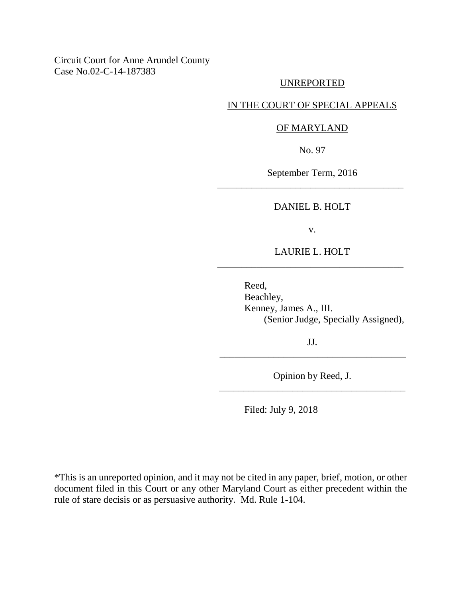## Circuit Court for Anne Arundel County Case No.02-C-14-187383

# UNREPORTED

### IN THE COURT OF SPECIAL APPEALS

### OF MARYLAND

No. 97

September Term, 2016 \_\_\_\_\_\_\_\_\_\_\_\_\_\_\_\_\_\_\_\_\_\_\_\_\_\_\_\_\_\_\_\_\_\_\_\_\_\_

DANIEL B. HOLT

v.

LAURIE L. HOLT \_\_\_\_\_\_\_\_\_\_\_\_\_\_\_\_\_\_\_\_\_\_\_\_\_\_\_\_\_\_\_\_\_\_\_\_\_\_

> Reed, Beachley, Kenney, James A., III. (Senior Judge, Specially Assigned),

JJ. \_\_\_\_\_\_\_\_\_\_\_\_\_\_\_\_\_\_\_\_\_\_\_\_\_\_\_\_\_\_\_\_\_\_\_\_\_\_

Opinion by Reed, J. \_\_\_\_\_\_\_\_\_\_\_\_\_\_\_\_\_\_\_\_\_\_\_\_\_\_\_\_\_\_\_\_\_\_\_\_\_\_

Filed: July 9, 2018

\*This is an unreported opinion, and it may not be cited in any paper, brief, motion, or other document filed in this Court or any other Maryland Court as either precedent within the rule of stare decisis or as persuasive authority. Md. Rule 1-104.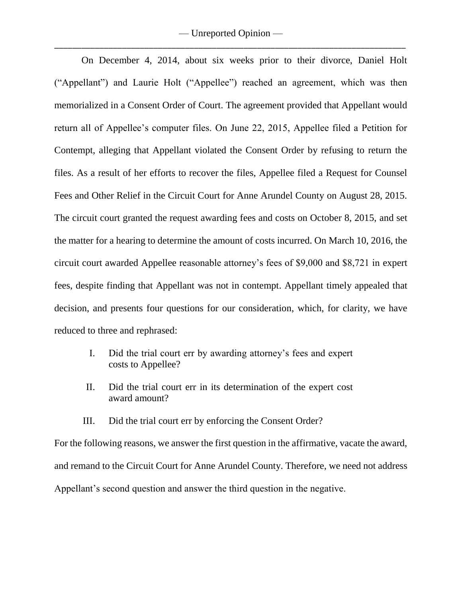On December 4, 2014, about six weeks prior to their divorce, Daniel Holt ("Appellant") and Laurie Holt ("Appellee") reached an agreement, which was then memorialized in a Consent Order of Court. The agreement provided that Appellant would return all of Appellee's computer files. On June 22, 2015, Appellee filed a Petition for Contempt, alleging that Appellant violated the Consent Order by refusing to return the files. As a result of her efforts to recover the files, Appellee filed a Request for Counsel Fees and Other Relief in the Circuit Court for Anne Arundel County on August 28, 2015. The circuit court granted the request awarding fees and costs on October 8, 2015, and set the matter for a hearing to determine the amount of costs incurred. On March 10, 2016, the circuit court awarded Appellee reasonable attorney's fees of \$9,000 and \$8,721 in expert fees, despite finding that Appellant was not in contempt. Appellant timely appealed that decision, and presents four questions for our consideration, which, for clarity, we have reduced to three and rephrased:

- I. Did the trial court err by awarding attorney's fees and expert costs to Appellee?
- II. Did the trial court err in its determination of the expert cost award amount?
- III. Did the trial court err by enforcing the Consent Order?

For the following reasons, we answer the first question in the affirmative, vacate the award, and remand to the Circuit Court for Anne Arundel County. Therefore, we need not address Appellant's second question and answer the third question in the negative.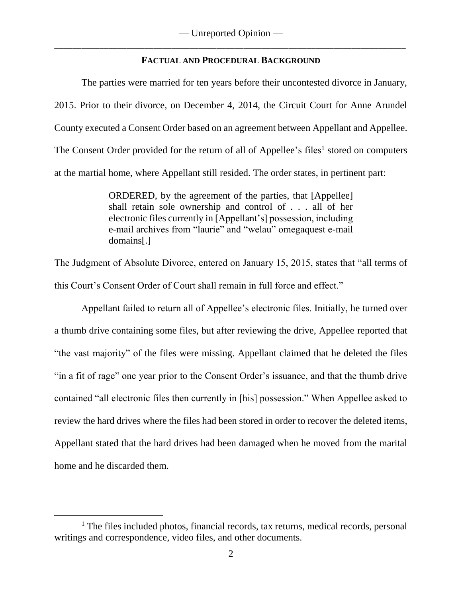## **FACTUAL AND PROCEDURAL BACKGROUND**

The parties were married for ten years before their uncontested divorce in January, 2015. Prior to their divorce, on December 4, 2014, the Circuit Court for Anne Arundel County executed a Consent Order based on an agreement between Appellant and Appellee. The Consent Order provided for the return of all of Appellee's files<sup>1</sup> stored on computers at the martial home, where Appellant still resided. The order states, in pertinent part:

> ORDERED, by the agreement of the parties, that [Appellee] shall retain sole ownership and control of . . . all of her electronic files currently in [Appellant's] possession, including e-mail archives from "laurie" and "welau" omegaquest e-mail domains[.]

The Judgment of Absolute Divorce, entered on January 15, 2015, states that "all terms of this Court's Consent Order of Court shall remain in full force and effect."

Appellant failed to return all of Appellee's electronic files. Initially, he turned over a thumb drive containing some files, but after reviewing the drive, Appellee reported that "the vast majority" of the files were missing. Appellant claimed that he deleted the files "in a fit of rage" one year prior to the Consent Order's issuance, and that the thumb drive contained "all electronic files then currently in [his] possession." When Appellee asked to review the hard drives where the files had been stored in order to recover the deleted items, Appellant stated that the hard drives had been damaged when he moved from the marital home and he discarded them.

 $\overline{a}$ 

<sup>&</sup>lt;sup>1</sup> The files included photos, financial records, tax returns, medical records, personal writings and correspondence, video files, and other documents.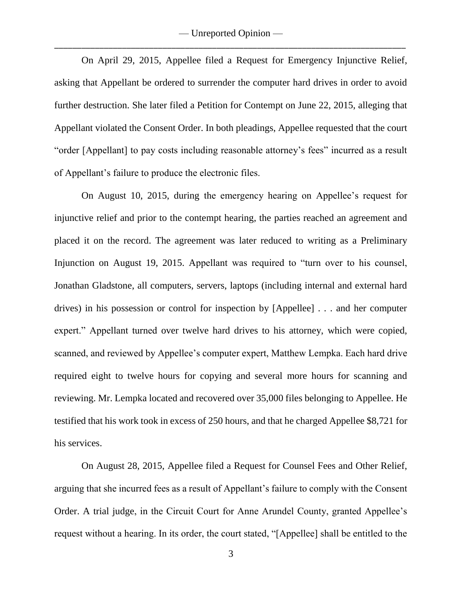On April 29, 2015, Appellee filed a Request for Emergency Injunctive Relief, asking that Appellant be ordered to surrender the computer hard drives in order to avoid further destruction. She later filed a Petition for Contempt on June 22, 2015, alleging that Appellant violated the Consent Order. In both pleadings, Appellee requested that the court "order [Appellant] to pay costs including reasonable attorney's fees" incurred as a result of Appellant's failure to produce the electronic files.

On August 10, 2015, during the emergency hearing on Appellee's request for injunctive relief and prior to the contempt hearing, the parties reached an agreement and placed it on the record. The agreement was later reduced to writing as a Preliminary Injunction on August 19, 2015. Appellant was required to "turn over to his counsel, Jonathan Gladstone, all computers, servers, laptops (including internal and external hard drives) in his possession or control for inspection by [Appellee] . . . and her computer expert." Appellant turned over twelve hard drives to his attorney, which were copied, scanned, and reviewed by Appellee's computer expert, Matthew Lempka. Each hard drive required eight to twelve hours for copying and several more hours for scanning and reviewing. Mr. Lempka located and recovered over 35,000 files belonging to Appellee. He testified that his work took in excess of 250 hours, and that he charged Appellee \$8,721 for his services.

On August 28, 2015, Appellee filed a Request for Counsel Fees and Other Relief, arguing that she incurred fees as a result of Appellant's failure to comply with the Consent Order. A trial judge, in the Circuit Court for Anne Arundel County, granted Appellee's request without a hearing. In its order, the court stated, "[Appellee] shall be entitled to the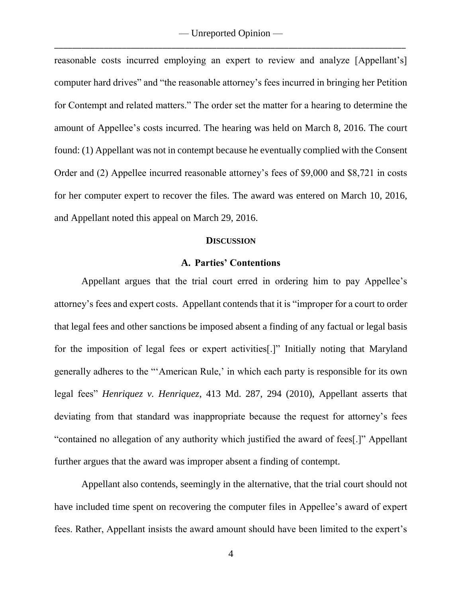reasonable costs incurred employing an expert to review and analyze [Appellant's] computer hard drives" and "the reasonable attorney's fees incurred in bringing her Petition for Contempt and related matters." The order set the matter for a hearing to determine the amount of Appellee's costs incurred. The hearing was held on March 8, 2016. The court found: (1) Appellant was not in contempt because he eventually complied with the Consent Order and (2) Appellee incurred reasonable attorney's fees of \$9,000 and \$8,721 in costs for her computer expert to recover the files. The award was entered on March 10, 2016, and Appellant noted this appeal on March 29, 2016.

#### **DISCUSSION**

### **A. Parties' Contentions**

Appellant argues that the trial court erred in ordering him to pay Appellee's attorney's fees and expert costs. Appellant contends that it is "improper for a court to order that legal fees and other sanctions be imposed absent a finding of any factual or legal basis for the imposition of legal fees or expert activities[.]" Initially noting that Maryland generally adheres to the "'American Rule,' in which each party is responsible for its own legal fees" *Henriquez v. Henriquez*, 413 Md. 287, 294 (2010), Appellant asserts that deviating from that standard was inappropriate because the request for attorney's fees "contained no allegation of any authority which justified the award of fees[.]" Appellant further argues that the award was improper absent a finding of contempt.

Appellant also contends, seemingly in the alternative, that the trial court should not have included time spent on recovering the computer files in Appellee's award of expert fees. Rather, Appellant insists the award amount should have been limited to the expert's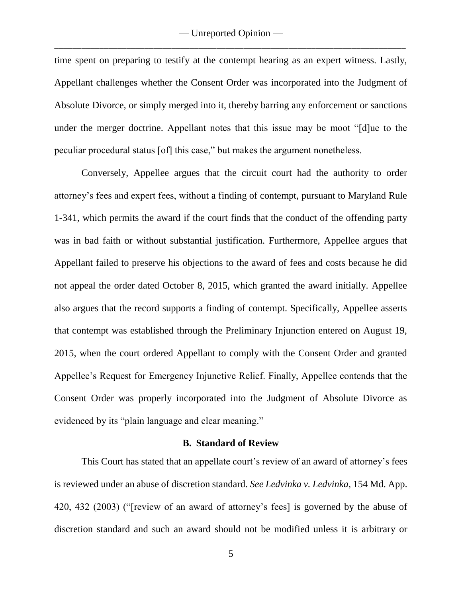time spent on preparing to testify at the contempt hearing as an expert witness. Lastly, Appellant challenges whether the Consent Order was incorporated into the Judgment of Absolute Divorce, or simply merged into it, thereby barring any enforcement or sanctions under the merger doctrine. Appellant notes that this issue may be moot "[d]ue to the peculiar procedural status [of] this case," but makes the argument nonetheless.

Conversely, Appellee argues that the circuit court had the authority to order attorney's fees and expert fees, without a finding of contempt, pursuant to Maryland Rule 1-341, which permits the award if the court finds that the conduct of the offending party was in bad faith or without substantial justification. Furthermore, Appellee argues that Appellant failed to preserve his objections to the award of fees and costs because he did not appeal the order dated October 8, 2015, which granted the award initially. Appellee also argues that the record supports a finding of contempt. Specifically, Appellee asserts that contempt was established through the Preliminary Injunction entered on August 19, 2015, when the court ordered Appellant to comply with the Consent Order and granted Appellee's Request for Emergency Injunctive Relief. Finally, Appellee contends that the Consent Order was properly incorporated into the Judgment of Absolute Divorce as evidenced by its "plain language and clear meaning."

#### **B. Standard of Review**

This Court has stated that an appellate court's review of an award of attorney's fees is reviewed under an abuse of discretion standard. *See Ledvinka v. Ledvinka*, 154 Md. App. 420, 432 (2003) ("[review of an award of attorney's fees] is governed by the abuse of discretion standard and such an award should not be modified unless it is arbitrary or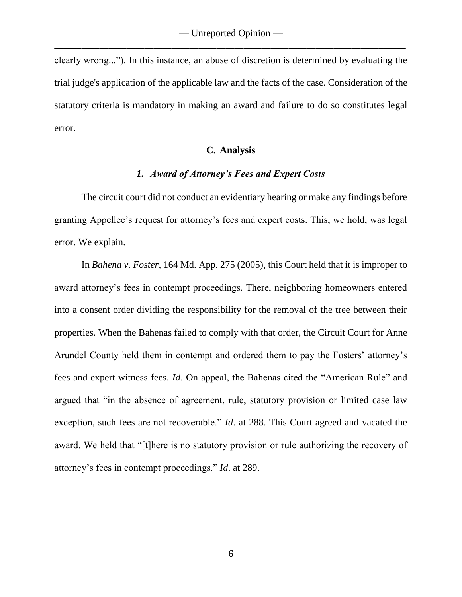clearly wrong..."). In this instance, an abuse of discretion is determined by evaluating the trial judge's application of the applicable law and the facts of the case. Consideration of the statutory criteria is mandatory in making an award and failure to do so constitutes legal error.

#### **C. Analysis**

#### *1. Award of Attorney's Fees and Expert Costs*

The circuit court did not conduct an evidentiary hearing or make any findings before granting Appellee's request for attorney's fees and expert costs. This, we hold, was legal error. We explain.

In *Bahena v. Foster*, 164 Md. App. 275 (2005), this Court held that it is improper to award attorney's fees in contempt proceedings. There, neighboring homeowners entered into a consent order dividing the responsibility for the removal of the tree between their properties. When the Bahenas failed to comply with that order, the Circuit Court for Anne Arundel County held them in contempt and ordered them to pay the Fosters' attorney's fees and expert witness fees. *Id*. On appeal, the Bahenas cited the "American Rule" and argued that "in the absence of agreement, rule, statutory provision or limited case law exception, such fees are not recoverable." *Id*. at 288. This Court agreed and vacated the award. We held that "[t]here is no statutory provision or rule authorizing the recovery of attorney's fees in contempt proceedings." *Id*. at 289.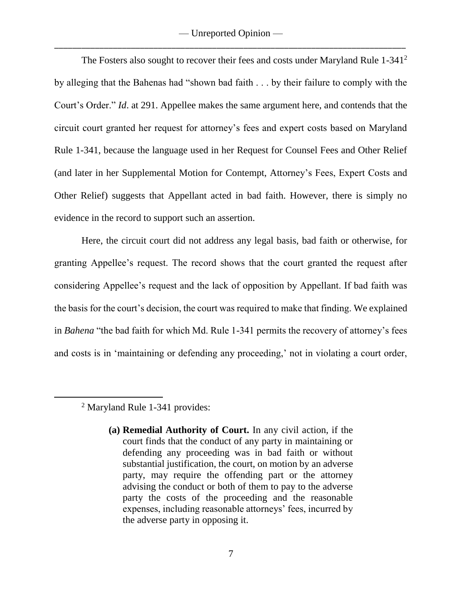— Unreported Opinion — \_\_\_\_\_\_\_\_\_\_\_\_\_\_\_\_\_\_\_\_\_\_\_\_\_\_\_\_\_\_\_\_\_\_\_\_\_\_\_\_\_\_\_\_\_\_\_\_\_\_\_\_\_\_\_\_\_\_\_\_\_\_\_\_\_\_\_\_\_\_\_\_\_\_\_\_\_\_

The Fosters also sought to recover their fees and costs under Maryland Rule 1-341<sup>2</sup> by alleging that the Bahenas had "shown bad faith . . . by their failure to comply with the Court's Order." *Id*. at 291. Appellee makes the same argument here, and contends that the circuit court granted her request for attorney's fees and expert costs based on Maryland Rule 1-341, because the language used in her Request for Counsel Fees and Other Relief (and later in her Supplemental Motion for Contempt, Attorney's Fees, Expert Costs and Other Relief) suggests that Appellant acted in bad faith. However, there is simply no evidence in the record to support such an assertion.

Here, the circuit court did not address any legal basis, bad faith or otherwise, for granting Appellee's request. The record shows that the court granted the request after considering Appellee's request and the lack of opposition by Appellant. If bad faith was the basis for the court's decision, the court was required to make that finding. We explained in *Bahena* "the bad faith for which Md. Rule 1-341 permits the recovery of attorney's fees and costs is in 'maintaining or defending any proceeding,' not in violating a court order,

<sup>2</sup> Maryland Rule 1-341 provides:

 $\overline{a}$ 

**<sup>(</sup>a) Remedial Authority of Court.** In any civil action, if the court finds that the conduct of any party in maintaining or defending any proceeding was in bad faith or without substantial justification, the court, on motion by an adverse party, may require the offending part or the attorney advising the conduct or both of them to pay to the adverse party the costs of the proceeding and the reasonable expenses, including reasonable attorneys' fees, incurred by the adverse party in opposing it.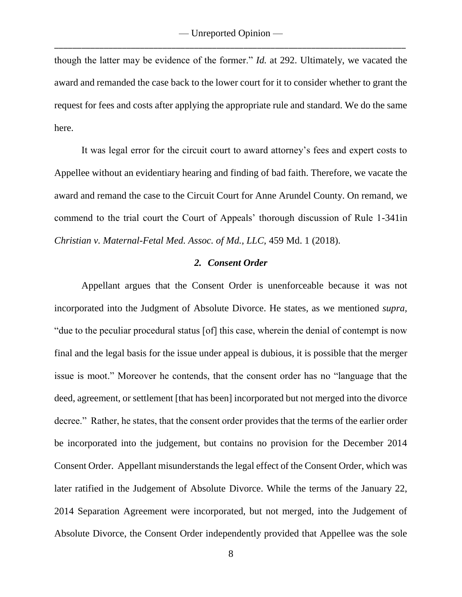though the latter may be evidence of the former." *Id.* at 292. Ultimately, we vacated the award and remanded the case back to the lower court for it to consider whether to grant the request for fees and costs after applying the appropriate rule and standard. We do the same here.

It was legal error for the circuit court to award attorney's fees and expert costs to Appellee without an evidentiary hearing and finding of bad faith. Therefore, we vacate the award and remand the case to the Circuit Court for Anne Arundel County. On remand, we commend to the trial court the Court of Appeals' thorough discussion of Rule 1-341in *Christian v. Maternal-Fetal Med. Assoc. of Md., LLC,* 459 Md. 1 (2018).

### *2. Consent Order*

Appellant argues that the Consent Order is unenforceable because it was not incorporated into the Judgment of Absolute Divorce. He states, as we mentioned *supra,*  "due to the peculiar procedural status [of] this case, wherein the denial of contempt is now final and the legal basis for the issue under appeal is dubious, it is possible that the merger issue is moot." Moreover he contends, that the consent order has no "language that the deed, agreement, or settlement [that has been] incorporated but not merged into the divorce decree." Rather, he states, that the consent order provides that the terms of the earlier order be incorporated into the judgement, but contains no provision for the December 2014 Consent Order. Appellant misunderstands the legal effect of the Consent Order, which was later ratified in the Judgement of Absolute Divorce. While the terms of the January 22, 2014 Separation Agreement were incorporated, but not merged, into the Judgement of Absolute Divorce, the Consent Order independently provided that Appellee was the sole